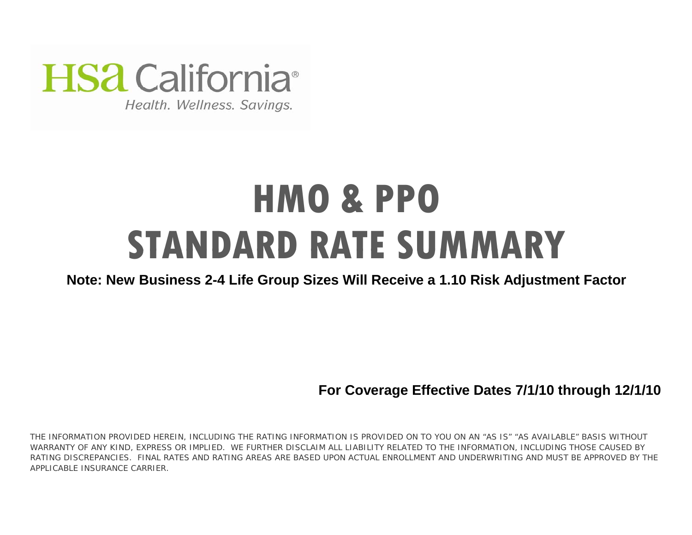

Health. Wellness. Savings.

# **HMO & PPO STANDARD RATE SUMMARY**

# **Note: New Business 2-4 Life Group Sizes Will Receive a 1.10 Risk Adjustment Factor**

**For Coverage Effective Dates 7/1/10 through 12/1/10**

THE INFORMATION PROVIDED HEREIN, INCLUDING THE RATING INFORMATION IS PROVIDED ON TO YOU ON AN "AS IS" "AS AVAILABLE" BASIS WITHOUT WARRANTY OF ANY KIND, EXPRESS OR IMPLIED. WE FURTHER DISCLAIM ALL LIABILITY RELATED TO THE INFORMATION, INCLUDING THOSE CAUSED BY RATING DISCREPANCIES. FINAL RATES AND RATING AREAS ARE BASED UPON ACTUAL ENROLLMENT AND UNDERWRITING AND MUST BE APPROVED BY THE APPLICABLE INSURANCE CARRIER.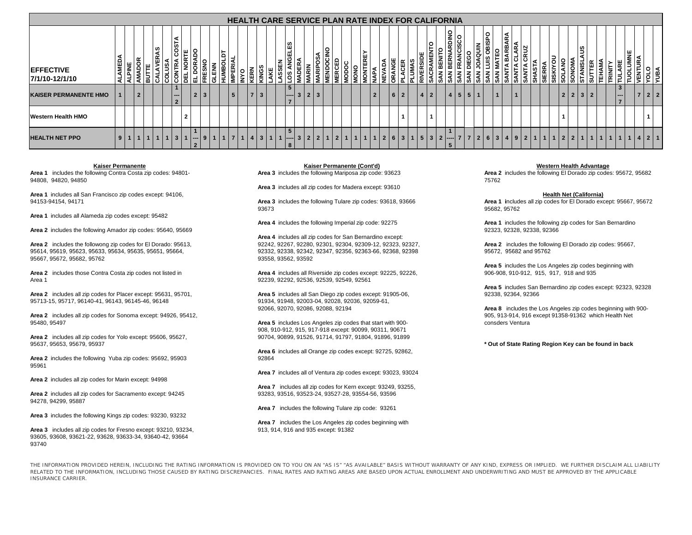|                                     |                  |   |                |   |         |     |                                               |                          |                |              |      |                            |             |                         |                |     |       |                                                  |                  |                       |                                |             |                |     |                  |                |                |           |          |         |                              | <b>HEALTH CARE SERVICE PLAN RATE INDEX FOR CALIFORNIA</b> |                |                 |                |                     |                     |              |                      |         |           |    |              |                             |                        |            |                |   |   |                                        |                |                  |              |  |
|-------------------------------------|------------------|---|----------------|---|---------|-----|-----------------------------------------------|--------------------------|----------------|--------------|------|----------------------------|-------------|-------------------------|----------------|-----|-------|--------------------------------------------------|------------------|-----------------------|--------------------------------|-------------|----------------|-----|------------------|----------------|----------------|-----------|----------|---------|------------------------------|-----------------------------------------------------------|----------------|-----------------|----------------|---------------------|---------------------|--------------|----------------------|---------|-----------|----|--------------|-----------------------------|------------------------|------------|----------------|---|---|----------------------------------------|----------------|------------------|--------------|--|
| <b>IEFFECTIVE</b><br>7/1/10-12/1/10 | <b>AME</b><br>١ਵ | 롵 | <b>AMADOR</b>  | 긂 | ဖာ<br>≃ |     | ⋖<br>$\overline{\overline{\text{cost}}}$<br>õ | ٣<br>핑                   | ုဒ<br>급        |              | GLEN | 5<br><b>IMPERI</b><br>HUMB | <b>OANI</b> | <b>ERN</b>              | KINGS          | AKE | ASSEN | 69<br>쁭<br>ဖာ                                    | ⋖<br><b>ADEI</b> | <b>VIARIN</b>         | <b>OSA</b><br><b>ARIE</b><br>볾 | <b>VERC</b> | NODOC          | ONO | ∣ ee<br>Bi<br>Ιğ | ⋚              | ÁQA<br>ΝE<br>Σ | <b>BA</b> | CER<br>립 |         | ะ<br>$\overline{\mathsf{R}}$ | 핆<br>Š                                                    | Ř<br>SAN<br>౹ౚ | ∣వ              | <b>SAN</b>     | MING<br>$\tilde{z}$ | <b>OBISPO</b><br>डू | 3Ā           | RBAR.<br>٩<br>œ<br>Ā | ≃<br>डू | <b>IA</b> | ١Ŧ | <b>SIERF</b> | 5<br><b>SOLAN</b><br>SISKIY | <b>SONOMA</b>          | Ľ<br>TANIS | ā              | 固 | 횬 | 'Ē                                     | 뿦<br>≍<br>Ĕ    | S<br><b>VENT</b> | <b>VBILA</b> |  |
| <b>KAISER PERMANENTE HMO</b>        |                  |   | $\overline{2}$ |   |         |     | $\sim$<br>$\overline{2}$                      |                          | $\overline{2}$ | $\mathbf{3}$ |      | $5\overline{5}$            |             | ÷                       | 3              |     |       | 5 <sup>5</sup><br>$\qquad \qquad -\qquad \qquad$ | $\overline{3}$   | $\overline{2}$<br>l 3 |                                |             |                |     |                  | $\overline{2}$ |                | 6 2       |          |         | 4 2                          |                                                           |                | $4 \mid 5 \mid$ |                | 5 1                 |                     | $\mathbf{1}$ |                      |         |           |    |              |                             | $2 \mid 2 \mid 3 \mid$ |            | $\overline{2}$ |   |   | $3^{\circ}$<br>$- -$<br>$\overline{ }$ |                | $\overline{7}$   | 2 2          |  |
| <b>Western Health HMO</b>           |                  |   |                |   |         |     |                                               | $\overline{\phantom{a}}$ |                |              |      |                            |             |                         |                |     |       |                                                  |                  |                       |                                |             |                |     |                  |                |                |           |          |         |                              |                                                           |                |                 |                |                     |                     |              |                      |         |           |    |              |                             |                        |            |                |   |   |                                        |                |                  |              |  |
| <b>HEALTH NET PPO</b>               | 9                |   | $\overline{1}$ |   |         | 1 1 | $\mathbf{3}$                                  |                          | <b>1</b> ——    |              |      |                            |             | $\vert 1 \vert 4 \vert$ | 3 <sup>1</sup> |     | -1    | $5^{\circ}$<br>$ -----$<br>8                     | $\mathbf{3}$     | $\overline{2}$        |                                | $2112$      | $\overline{1}$ |     |                  | 1              | 2 <sup>1</sup> |           |          | 6 3 1 5 |                              | $\mathbf{3}$                                              | $ 2 $ ----     |                 | 7 <sup>1</sup> |                     | $263$               |              | $\overline{4}$       |         | 9 2 1 1   |    |              | $\overline{1}$              | 2 2 1                  |            | $\overline{1}$ |   | 1 | 1                                      | 1 <sup>1</sup> | 4 2 1            |              |  |

## **Kaiser Permanente**

**Area 1** includes the following Contra Costa zip codes: 94801- 94808, 94820, 94850

**Area 1** includes all San Francisco zip codes except: 94106, 94153-94154, 94171

**Area 1** includes all Alameda zip codes except: 95482

**Area 2** includes the following Amador zip codes: 95640, 95669

**Area 2** includes the followong zip codes for El Dorado: 95613, 95614, 95619, 95623, 95633, 95634, 95635, 95651, 95664, 95667, 95672, 95682, 95762

**Area 2** includes those Contra Costa zip codes not listed in Area 1

**Area 2** includes all zip codes for Placer except: 95631, 95701, 95713-15, 95717, 96140-41, 96143, 96145-46, 96148

**Area 2** includes all zip codes for Sonoma except: 94926, 95412, 95480, 95497

**Area 2** includes all zip codes for Yolo except: 95606, 95627, 95637, 95653, 95679, 95937

**Area 2** includes the following Yuba zip codes: 95692, 95903 95961

**Area 2** includes all zip codes for Marin except: 94998

**Area 2** includes all zip codes for Sacramento except: 94245 94278, 94299, 95887

**Area 3** includes the following Kings zip codes: 93230, 93232

93605, 93608, 93621-22, 93628, 93633-34, 93640-42, 93664 93740**Area 3** includes all zip codes for Fresno except: 93210, 93234, **Area 3** includes the following Mariposa zip code: 93623 **Kaiser Permanente (Cont'd)**

**Area 3** includes all zip codes for Madera except: 93610

93673

**Area 4** includes the following Imperial zip code: 92275

92242, 92267, 92280, 92301, 92304, 92309-12, 92323, 92327, 92332, 92338, 92342, 92347, 92356, 92363-66, 92368, 92398<br>93558, 93562, 93592 **Area 4** includes all zip codes for San Bernardino except:

**Area 4** includes all Riverside zip codes except: 92225, 92226, 92239, 92292, 92536, 92539, 92549, 92561

91934, 91948, 92003-04, 92028, 92036, 92059-61, 92066, 92070, 92086, 92088, 92194 **Area 8** includes the Los Angeles zip codes beginning with 900- **Area 5** includes all San Diego zip codes except: 91905-06,

**Area 5** includes Los Angeles zip codes that start with 900- 908, 910-912, 915, 917-918 except: 90099, 90311, 90671 90704, 90899, 91526, 91714, 91797, 91804, 91896, 91899

**Area 6** includes all Orange zip codes except: 92725, 92862, 92864

**Area 7** includes all of Ventura zip codes except: 93023, 93024

**Area 7** includes all zip codes for Kern except: 93249, 93255, 93283, 93516, 93523-24, 93527-28, 93554-56, 93596

**Area 7** includes the following Tulare zip code: 93261

**Area 7** includes the Los Angeles zip codes beginning with

# **Western Health Advantage**

**Area 2** includes the following El Dorado zip codes: 95672, 95682 75762

## **Health Net (California)**

**Area 3** includes the following Tulare zip codes: 93618, 93666 **Area 1 i**ncludes all zip codes for El Dorado except: 95667, 95672 95682, 95762

> **Area 1** includes the following zip codes for San Bernardino 92323, 92328, 92338, 92366

> 95672,95682 and 95762 **Area 2** includes the following El Dorado zip codes: 95667,

906-908, 910-912, 915, 917, 918 and 935 **Area 5** includes the Los Angeles zip codes beginning with

**Area 5** includes San Bernardino zip codes except: 92323, 92328 92338, 92364, 92366

905, 913-914, 916 except 91358-91362 which Health Net consders Ventura

**\* Out of State Rating Region Key can be found in back**

THE INFORMATION PROVIDED HEREIN, INCLUDING THE RATING INFORMATION IS PROVIDED ON TO YOU ON AN "AS IS" "AS AVAILABLE" BASIS WITHOUT WARRANTY OF ANY KIND, EXPRESS OR IMPLIED. WE FURTHER DISCLAIM ALL LIABILITY RELATED TO THE INFORMATION, INCLUDING THOSE CAUSED BY RATING DISCREPANCIES. FINAL RATES AND RATING AREAS ARE BASED UPON ACTUAL ENROLLMENT AND UNDERWRITING AND MUST BE APPROVED BY THE APPLICABLE INSURANCE CARRIER.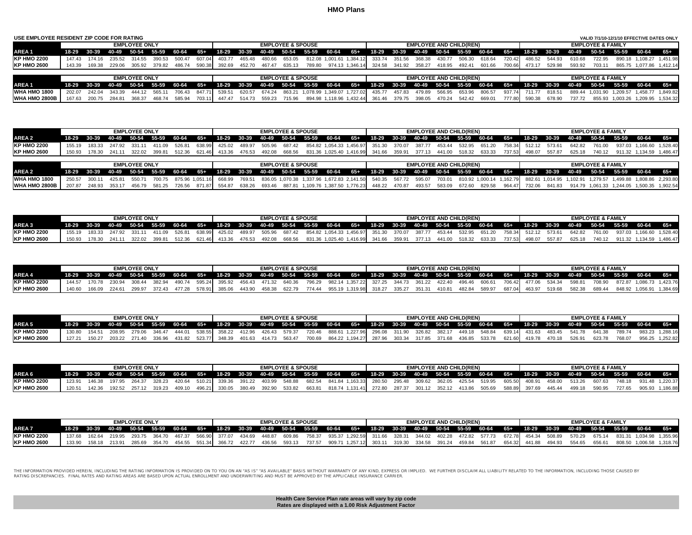| USE EMPLOYEE RESIDENT ZIP CODE FOR RATING |        |                                     |        |                      |        |               |        |        |        |                         |                              |        |       |                                 |        |             |                                |         |        |        |        |             |        |        | VALID 7/1/10-12/1/10 EFFECTIVE DATES ONLY |          |                          |          |
|-------------------------------------------|--------|-------------------------------------|--------|----------------------|--------|---------------|--------|--------|--------|-------------------------|------------------------------|--------|-------|---------------------------------|--------|-------------|--------------------------------|---------|--------|--------|--------|-------------|--------|--------|-------------------------------------------|----------|--------------------------|----------|
|                                           |        |                                     |        | <b>EMPLOYEE ONLY</b> |        |               |        |        |        |                         | <b>EMPLOYEE &amp; SPOUSE</b> |        |       |                                 |        |             | <b>EMPLOYEE AND CHILD(REN)</b> |         |        |        |        |             |        |        | <b>EMPLOYEE &amp; FAMILY</b>              |          |                          |          |
| <b>AREA1</b>                              |        | 18-29 30-39 40-49 50-54 55-59 60-64 |        |                      |        |               | 65+    | 18-29  |        | 30-39 40-49 50-54       |                              | 55-59  | 60-64 | 65+                             | 18-29  | 30-39 40-49 |                                | $50-54$ | 55-59  | 60-64  | 65+    | 18-29 30-39 |        | 40-49  | 50-54 55-59                               |          | $60 - 64$                | 65+      |
| <b>KP HMO 2200</b>                        | 147.43 | 174 16                              | 235.52 |                      |        | 500.47        | 607.04 | 403.77 | 465.48 | 480.66                  | 653.05                       | 812.08 |       | 1.001.61 1.384.12               | 333.74 | 351.56      | 368.38                         | 430.77  | 506.30 | 618.64 | 720.42 | 486.52      | 544.93 | 610.68 | 722.95                                    |          | 890.18 1.108.27          | 1.451.98 |
| <b>KP HMO 2600</b>                        | 143.39 | 169.38                              | 229.06 |                      | 379.82 | 486.74        | 590.38 | 392.69 | 452.70 | 467.47                  | 635.13                       | 789.80 |       | 974.13 1.346.14                 | 324.58 |             | 341.92 358.27                  | 418.95  | 492.41 | 601.66 | 700.66 | 473.17      | 529.98 | 593.92 | 703.1                                     |          | 865.75 1.077.86          | 1.412.14 |
|                                           |        |                                     |        |                      |        |               |        |        |        |                         |                              |        |       |                                 |        |             |                                |         |        |        |        |             |        |        |                                           |          |                          |          |
|                                           |        |                                     |        | <b>EMPLOYEE ONLY</b> |        |               |        |        |        |                         | <b>EMPLOYEE &amp; SPOUSE</b> |        |       |                                 |        |             | <b>EMPLOYEE AND CHILD(REN)</b> |         |        |        |        |             |        |        | <b>EMPLOYEE &amp; FAMILY</b>              |          |                          |          |
| <b>AREA1</b>                              |        | 18-29 30-39 40-49 50-54 55-59 60-64 |        |                      |        |               | 65+    | 18-29  |        | 30-39 40-49 50-54 55-59 |                              |        | 60-64 | 65+                             | 18-29  | 30-39 40-49 |                                | 50-54   | 55-59  | 60-64  | 65+    | 18-29 30-39 |        | 40-49  | 50-54 55-59                               |          | 60-64                    | $65 +$   |
| WHA HMO 1800                              | 202.07 | 242.04                              | 343.39 |                      | 565.1  | 706.43        | 847.71 | 539.51 | 620.57 | 674.24                  | 863.21                       |        |       | .078.99  1.349.07  1.727.02     | 435.77 | 457.83      | 479.89                         | 566.95  | 653.96 | 806.57 | 937.74 | 711.77      | 818.51 | 889.44 | 1.031.90                                  | 1.209.57 | 1.458.77                 | 1.849.82 |
| <b>WHA HMO 2800B</b>                      | 167.63 | 200.75                              | 284.81 | 368.37               | 468.74 | 585.94 703.11 |        | 447.47 | 514.73 |                         | 559.23 715.96                |        |       | 894.98 1,118.96 1,432.44 361.46 |        | 379.75      | 398.05                         | 470.24  | 542.42 | 669.01 | 777.80 | 590.38      | 678.90 | 737.72 |                                           |          | 855.93 1.003.26 1.209.95 | 1.534.32 |

|                     | <b>EMPLOYEE &amp; SPOUSE</b><br><b>EMPLOYEE ONLY</b><br>18-29 30-39 40-49 50-54 55-59 60-64 65+ 18-29 30-39 40-49 50-54 55-59 60-64 65+ 18-29 30-39 40-49 50-54 55-59 60-64 65+ 18-29 30-39 40-49 50-54 55-59 60-64 65+<br>526.81 638.99 425.02 489.97 505.96 687.42 854.82 1,054.33 1,456.97 351.30 370.07 387.77 453.44 532.95 651.20 758.34 512.12 573.61<br>411.09<br>155.19 183.33 247.92 331.11<br>150.93 178.30 241.11 322.02 399.81 512.36 621.46 413.36 476.53 492.08 668.56 831.36 1,025.40 1,416.99 341.66 359.91 377.13 441.00 518.32 633.33 737.53 498.07 557.87 625.18 740.12 911.32 1,134.59 1,486.47 |               |  |                      |  |                                         |  |  |  |                              |  | <b>EMPLOYEE AND CHILD(REN)</b> |  |                                |  | <b>EMPLOYEE &amp; FAMILY</b> |  |                                                                                                                                                                                                   |  |  |
|---------------------|----------------------------------------------------------------------------------------------------------------------------------------------------------------------------------------------------------------------------------------------------------------------------------------------------------------------------------------------------------------------------------------------------------------------------------------------------------------------------------------------------------------------------------------------------------------------------------------------------------------------|---------------|--|----------------------|--|-----------------------------------------|--|--|--|------------------------------|--|--------------------------------|--|--------------------------------|--|------------------------------|--|---------------------------------------------------------------------------------------------------------------------------------------------------------------------------------------------------|--|--|
| <b>AREA 2</b>       |                                                                                                                                                                                                                                                                                                                                                                                                                                                                                                                                                                                                                      |               |  |                      |  |                                         |  |  |  |                              |  |                                |  |                                |  |                              |  |                                                                                                                                                                                                   |  |  |
| <b>KP HMO 2200</b>  |                                                                                                                                                                                                                                                                                                                                                                                                                                                                                                                                                                                                                      |               |  |                      |  |                                         |  |  |  |                              |  |                                |  |                                |  |                              |  | 642.82 761.00 937.03 1.166.60 1.528.40                                                                                                                                                            |  |  |
| <b>KP HMO 2600</b>  |                                                                                                                                                                                                                                                                                                                                                                                                                                                                                                                                                                                                                      |               |  |                      |  |                                         |  |  |  |                              |  |                                |  |                                |  |                              |  |                                                                                                                                                                                                   |  |  |
|                     |                                                                                                                                                                                                                                                                                                                                                                                                                                                                                                                                                                                                                      |               |  |                      |  |                                         |  |  |  |                              |  |                                |  |                                |  |                              |  |                                                                                                                                                                                                   |  |  |
|                     |                                                                                                                                                                                                                                                                                                                                                                                                                                                                                                                                                                                                                      |               |  | <b>EMPLOYEE ONLY</b> |  |                                         |  |  |  | <b>EMPLOYEE &amp; SPOUSE</b> |  |                                |  | <b>EMPLOYEE AND CHILD(REN)</b> |  |                              |  | <b>EMPLOYEE &amp; FAMILY</b>                                                                                                                                                                      |  |  |
| AREA 2              |                                                                                                                                                                                                                                                                                                                                                                                                                                                                                                                                                                                                                      |               |  |                      |  | 18-29 30-39 40-49 50-54 55-59 60-64 65+ |  |  |  |                              |  |                                |  |                                |  |                              |  | 18-29 30-39 40-49 50-54 55-59 60-64 65+ 18-29 30-39 40-49 50-54 55-59 60-64 65+ 18-29 30-39 40-49 50-54 55-59 60-64 65+                                                                           |  |  |
| <b>WHA HMO 1800</b> |                                                                                                                                                                                                                                                                                                                                                                                                                                                                                                                                                                                                                      | 250.57 300.11 |  | 425.81 550.71        |  |                                         |  |  |  |                              |  |                                |  |                                |  |                              |  | 700.75 875.96 1,051.16 668.99 769.51 836.05 1,070.38 1,337.96 1,672.83 2,141.50 540.35 567.72 595.07 703.01 810.92 1,000.14 1,162.79 882.61 1,014.95 1,102.91 1,279.57 1,499.88 1,808.86 2,293.80 |  |  |

|                    |        |        | <b>EMPLOYEE ONLY</b> |                      |                                         |        |               |        | <b>EMPLOYEE &amp; SPOUSE</b> |                                                                    |  |  | <b>EMPLOYEE AND CHILD(REN)</b> |  |                      |                                                                                                                         | <b>EMPLOYEE &amp; FAMILY</b> |                 |          |
|--------------------|--------|--------|----------------------|----------------------|-----------------------------------------|--------|---------------|--------|------------------------------|--------------------------------------------------------------------|--|--|--------------------------------|--|----------------------|-------------------------------------------------------------------------------------------------------------------------|------------------------------|-----------------|----------|
| AREA 3             |        |        |                      |                      | 18-29 30-39 40-49 50-54 55-59 60-64 65+ |        |               |        |                              |                                                                    |  |  |                                |  |                      | 18-29 30-39 40-49 50-54 55-59 60-64 65+ 18-29 30-39 40-49 50-54 55-59 60-64 65+ 18-29 30-39 40-49 50-54 55-59 60-64 65+ |                              |                 |          |
| <b>KP HMO 2200</b> | 155.19 | 183.33 |                      | 247.92 331.11 411.09 | 526.81                                  | 638.99 | 425.02 489.97 | 505.96 | 687.42                       | 854.82 1,054.33 1,456.97 351.30 370.07 387.77 453.44 532.95 651.20 |  |  |                                |  | 758.34 512.12 573.61 | 642.82                                                                                                                  | 761.00                       | 937.03 1.166.60 | 1.528.40 |

207.87 248.93 353.17 456.79 581.25 726.56 871.87 554.87 638.26 693.46 887.81 1,109.76 1,387.50 1,776.23 448.22 470.87 493.57 583.09 672.60 829.58 964.47 732.06 841.83 914.79 1,061.33 1,244.05 1,500.35 1,902.54

**WHA HMO 2800B**

**KP HMO 2200**

| <b>KP HMO 2600</b> | 150.93 | 178.30 | 241.11 | 322.02 | 399.81 | 512.36 | 621.46 | 413.36 | 476.53 | 492.08 | 668.56 | 831.36 1,025.40 1,416.99 341.66 |  | 359.91 | 377.13 | 441.00 | 518.32 | 633.33 | 737.53 498.07 | 557.87 | 625.18 | 740.12 | 911.32 | 1.134.59 | 1,486.47 |
|--------------------|--------|--------|--------|--------|--------|--------|--------|--------|--------|--------|--------|---------------------------------|--|--------|--------|--------|--------|--------|---------------|--------|--------|--------|--------|----------|----------|

|                    |        |        |        | <b>EMPLOYEE ONLY</b> |  |  |  | <b>EMPLOYEE &amp; SPOUSE</b> |  |  |  | <b>EMPLOYEE AND CHILD(REN)</b> |  |  |  | <b>EMPLOYEE &amp; FAMILY</b>                                                                                                                          |       |                                                                                                                                                                                                    |
|--------------------|--------|--------|--------|----------------------|--|--|--|------------------------------|--|--|--|--------------------------------|--|--|--|-------------------------------------------------------------------------------------------------------------------------------------------------------|-------|----------------------------------------------------------------------------------------------------------------------------------------------------------------------------------------------------|
| AREA 4             |        |        |        |                      |  |  |  |                              |  |  |  |                                |  |  |  | 18-29 30-39 40-49 50-54 55-59 60-64 65+ 18-29 30-39 40-49 50-54 55-59 60-64 65+ 18-29 30-39 40-49 50-54 55-59 60-64 65+ 18-29 30-39 40-49 50-54 55-59 | 60-64 |                                                                                                                                                                                                    |
| <b>KP HMO 2200</b> | 144.57 |        |        |                      |  |  |  |                              |  |  |  |                                |  |  |  |                                                                                                                                                       |       | 170.78 230.94 308.44 382.94 490.74 595.24 395.92 456.43 471.32 640.36 796.29 982.14 1,357.22 327.25 344.73 361.22 422.40 496.46 606.61 706.42 477.06 534.34 598.81 708.90 872.87 1,086.73 1,423.76 |
| <b>KP HMO 2600</b> |        | 166.09 | 224.61 | 299.97               |  |  |  |                              |  |  |  |                                |  |  |  | 372.43 477.28 578.91 385.06 443.90 458.38 622.79 774.44 955.19 1,319.98 318.27 335.27 351.31 410.81 482.84 589.97 687.04 463.97 519.68 582.38 689.44  |       | 848.92 1,056.91 1,384.69                                                                                                                                                                           |

|                    |        |        | <b>EMPLOYEE ONLY</b> |  |                                                  |  | <b>EMPLOYEE &amp; SPOUSE</b> |  |  |  | <b>EMPLOYEE AND CHILD(REN)</b> |  |  |                                                                                                                                                                                  | <b>EMPLOYEE &amp; FAMILY</b> |                                                                                                                                                                 |                        |  |
|--------------------|--------|--------|----------------------|--|--------------------------------------------------|--|------------------------------|--|--|--|--------------------------------|--|--|----------------------------------------------------------------------------------------------------------------------------------------------------------------------------------|------------------------------|-----------------------------------------------------------------------------------------------------------------------------------------------------------------|------------------------|--|
| AREA 5             |        |        |                      |  |                                                  |  |                              |  |  |  |                                |  |  |                                                                                                                                                                                  |                              | 18-29 30-39 40-49 50-54 55-59 60-64 65+ 18-29 30-39 40-49 50-54 55-59 60-64 65+ 18-29 30-39 40-49 50-54 55-59 60-64 65+ 18-29 30-39 40-49 50-54 55-59 60-64 65+ |                        |  |
| <b>KP HMO 2200</b> |        |        |                      |  |                                                  |  |                              |  |  |  |                                |  |  | 130.80 154.51 208.95 279.06 346.47 444.01 538.55 358.22 412.96 426.43 579.37 720.46 888.61 1,227.96 296.08 311.90 326.82 382.17 449.18 548.84 639.14 431.63 483.45 541.78 641.38 |                              | 789.74 983.23 1.288.16                                                                                                                                          |                        |  |
| <b>KP HMO 2600</b> | 127 21 | 150.27 | 203.22 271.40        |  | 336.96 431.82 523.77 348.39 401.63 414.73 563.47 |  |                              |  |  |  |                                |  |  | 700.69 864.22 1.194.27  287.96 303.34 317.85 371.68 436.85 533.78 621.60  419.78 470.18 526.91                                                                                   | 623.78                       |                                                                                                                                                                 | 768.07 956.25 1.252.82 |  |

|                    |        |        |        | <b>EMPLOYEE ONLY</b> |        |        |                             |        |        | <b>EMPLOYEE &amp; SPOUSE</b> |        |                                                                                 |  |  | <b>EMPLOYEE AND CHILD(REN)</b> |                                    |               |                      |        | <b>EMPLOYEE &amp; FAMILY</b> |                                                                               |                 |          |
|--------------------|--------|--------|--------|----------------------|--------|--------|-----------------------------|--------|--------|------------------------------|--------|---------------------------------------------------------------------------------|--|--|--------------------------------|------------------------------------|---------------|----------------------|--------|------------------------------|-------------------------------------------------------------------------------|-----------------|----------|
| AREA 6             |        |        |        |                      |        |        |                             |        |        |                              |        | 18-29 30-39 40-49 50-54 55-59 60-64 65+ 18-29 30-39 40-49 50-54 55-59 60-64 65+ |  |  |                                |                                    |               |                      |        |                              | 18-29 30-39 40-49 50-54 55-59 60-64 65+ 18-29 30-39 40-49 50-54 55-59 60-64 4 |                 |          |
| <b>KP HMO 2200</b> | 123.91 | 146.38 |        | 197.95 264.37        | 328.23 | 420.64 | 510.21 339.36 391.22 403.99 |        |        | 548.88                       |        | 682.54 841.84 1,163.33 280.50                                                   |  |  |                                | 295.48 309.62 362.05 425.54 519.95 | 605.50 408.91 | 458.00               | 513.26 | 607.63                       | 748.18                                                                        | 931.48 1.220.37 |          |
| <b>KP HMO 2600</b> | 120.51 |        | 192.52 |                      |        | 409.10 | 496.21 330.05               | 380.49 | 392.90 | 533.82                       | 663.81 | 818.74 1.131.41 272.80                                                          |  |  | 287.37 301.12 352.12 413.86    | 505.69                             |               | 588.89 397.69 445.44 | 499.18 | 590.95                       | 727.65                                                                        | 905.93 1        | 1.186.88 |

|                    |        |        |        | <b>EMPLOYEE ONLY</b> |        |  |                                                   |  | <b>EMPLOYEE &amp; SPOUSE</b> |                                                                  |  |  |  | <b>EMPLOYEE AND CHILD(REN)</b> |  |  |                                                                                                                                                       | <b>EMPLOYEE &amp; FAMILY</b> |                                                                                                                              |  |
|--------------------|--------|--------|--------|----------------------|--------|--|---------------------------------------------------|--|------------------------------|------------------------------------------------------------------|--|--|--|--------------------------------|--|--|-------------------------------------------------------------------------------------------------------------------------------------------------------|------------------------------|------------------------------------------------------------------------------------------------------------------------------|--|
| AREA 7             |        |        |        |                      |        |  |                                                   |  |                              |                                                                  |  |  |  |                                |  |  | 18-29 30-39 40-49 50-54 55-59 60-64 65+ 18-29 30-39 40-49 50-54 55-59 60-64 65+ 18-29 30-39 40-49 50-54 55-59 60-64 65+ 18-29 30-39 40-49 50-54 55-59 |                              | 60-64 65+                                                                                                                    |  |
| <b>KP HMO 2200</b> | 137.68 | 162.64 | 219 95 |                      |        |  | 0.689 448.87 566.90 377.07 434.69 448.87 409.86 د |  |                              |                                                                  |  |  |  |                                |  |  |                                                                                                                                                       |                              | 758.37 935.37 1,292.59 311.66 328.31 344.02 402.28 472.82 577.73 672.78 454.34 508.89 570.29 675.14 831.31 1,034.98 1,355.96 |  |
| <b>KP HMO 2600</b> | 133.90 |        | 213.91 | 285.69               | 354.70 |  | 454.55 551.34 366.72 422.77                       |  | 436.56 593.13                | 737.57 909.71 1.257.12 303.11 319.30 334.58 391.24 459.84 561.87 |  |  |  |                                |  |  | 654.32 441.88 494.93 554.65 656.61                                                                                                                    |                              | 808.50 1.006.58 1.318.76                                                                                                     |  |

THE INFORMATION PROVIDED HEREIN, INCLUDING THE RATING INFORMATION IS PROVIDED ON TO YOU ON AN "AS IS" "AS AVAILABLE" BASIS WITHOUT WARRANTY OF ANY KIND, EXPRESS OR IMPLIED. WE FURTHER DISCLAIM ALL LIABILITY RELATED TO THE RATING DISCREPANCIES. FINAL RATES AND RATING AREAS ARE BASED UPON ACTUAL ENROLLMENT AND UNDERWRITING AND MUST BE APPROVED BY THE APPLICABLE INSURANCE CARRIER.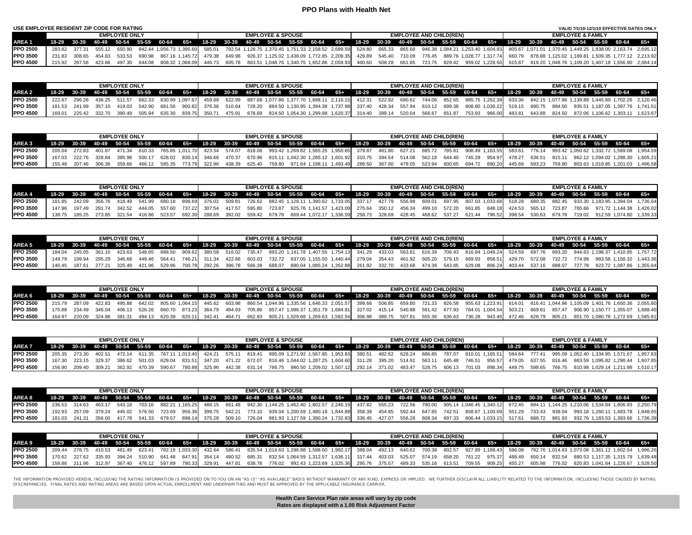# **PPO Plans with Health Net**

| USE EMPLOYEE RESIDENT ZIP CODE FOR RATING |               |                      |        |                                             |  |  |                              |                                                                               |  |  |                                |  |  |                              | VALID 7/1/10-12/1/10 EFFECTIVE DATES ONLY                                                                               |                                                                                                                                                                                                                                 |
|-------------------------------------------|---------------|----------------------|--------|---------------------------------------------|--|--|------------------------------|-------------------------------------------------------------------------------|--|--|--------------------------------|--|--|------------------------------|-------------------------------------------------------------------------------------------------------------------------|---------------------------------------------------------------------------------------------------------------------------------------------------------------------------------------------------------------------------------|
|                                           |               | <b>EMPLOYEE ONLY</b> |        |                                             |  |  | <b>EMPLOYEE &amp; SPOUSE</b> |                                                                               |  |  | <b>EMPLOYEE AND CHILD(REN)</b> |  |  | <b>EMPLOYEE &amp; FAMILY</b> |                                                                                                                         |                                                                                                                                                                                                                                 |
| AREA 1                                    |               |                      |        | 18-29 30-39 40-49 50-54 55-59 60-64 65+     |  |  |                              |                                                                               |  |  |                                |  |  |                              | 18-29 30-39 40-49 50-54 55-59 60-64 65+ 18-29 30-39 40-49 50-54 55-59 60-64 65+ 18-29 30-39 40-49 50-54 55-59 60-64 65+ |                                                                                                                                                                                                                                 |
| <b>IPPO 2500</b>                          |               |                      |        |                                             |  |  |                              |                                                                               |  |  |                                |  |  |                              |                                                                                                                         | 283.82 377.31 555.12 650.90 842.44 1.056.73 1.395.60 585.01 792.54 1.128.75 1.370.45 1.751.33 2.158.52 2.689.59 524.80 665.33 865.68 946.38 1.084.21 1.253.40 1.604.93 805.67 1.071.01 1.370.45 1.449.25 1.838.00 2.163.74 2.69 |
| <b>IPPO 3500</b>                          | 231.83 308.65 |                      |        | 454.83 533.53 690.98 867.16 1.145.72 479.38 |  |  |                              | 649.98 926.37 1,125.02 1,438.09 1,772.85 2,209.35 429.89 545.40 710.09 776.45 |  |  |                                |  |  |                              |                                                                                                                         | 889.76 1.028.77 1.317.74 660.79 878.88 1.125.02 1.189.81 1.509.35 1.777.12 2.213.92                                                                                                                                             |
| <b>IPPO 4500</b>                          | 215.92 287.56 | 423.86 497.30        | 644.08 | 808.32 1,068.09 446.73                      |  |  |                              |                                                                               |  |  |                                |  |  |                              |                                                                                                                         | 605.78 863.51 1,048.76 1,340.75 1,652.86 2,059.93 400.60 508.28 661.85 723.75 829.42 959.02 1,228.50 615.87 819.20 1,048.76 1,109.20 1,407.18 1,656.90 2,064.14                                                                 |

|                  |                      |        | <b>FMPI OYFF ONLY</b> |        |        |               | <b>EMPLOYEE &amp; SPOUSE</b> |  |                                                                                                                                                                 |  |  | <b>EMPLOYEE AND CHILD(REN)</b> |  |  | <b>FMPI OYFF &amp; FAMILY</b> |  |                                                                                                                                                                                                                           |
|------------------|----------------------|--------|-----------------------|--------|--------|---------------|------------------------------|--|-----------------------------------------------------------------------------------------------------------------------------------------------------------------|--|--|--------------------------------|--|--|-------------------------------|--|---------------------------------------------------------------------------------------------------------------------------------------------------------------------------------------------------------------------------|
| AREA 2           |                      |        |                       |        |        |               |                              |  | 18-29 30-39 40-49 50-54 55-59 60-64 65+ 18-29 30-39 40-49 50-54 55-59 60-64 65+ 18-29 30-39 40-49 50-54 55-59 60-64 65+ 18-29 30-39 40-49 50-54 55-59 60-64 65+ |  |  |                                |  |  |                               |  |                                                                                                                                                                                                                           |
| <b>IPPO 2500</b> |                      |        |                       |        |        |               |                              |  |                                                                                                                                                                 |  |  |                                |  |  |                               |  | 222.67 296.26 436.25 511.57 662.33 830.99 1,097.67 459.69 622.99 887.68 1,077.86 1,377.70 1,698.11 2,116.15 412.31 522.92 680.62 744.06 852.65 985.75 1,262.39 633.36 842.15 1,077.86 1,139.89 1,445.89 1,702.26 2,120.46 |
| <b>PPO 3500</b>  | 181.53 241.99 357.10 |        |                       |        |        |               |                              |  |                                                                                                                                                                 |  |  |                                |  |  |                               |  | 419.03 542.90 681.56 900.82 376.36 510.64 728.20 884.50 1,130.95 1,394.38 1,737.98 337.40 428.34 557.94 610.12 699.38 808.80 1,036.22 519.15 690.75 884.50 935.51 1,187.05 1,397.76 1,741.51                              |
| <b>PPO 4500</b>  | 225.42               | 332.70 | 390.49                | 505.94 | 635.30 | 839.75 350.71 |                              |  |                                                                                                                                                                 |  |  |                                |  |  |                               |  | 475.91 678.69 824.50 1,054.30 1,299.98 1,620.37 314.40 399.14 520.04 568.67 651.87 753.93 966.00 483.81 643.88 824.50 872.06 1,106.62 1,303.11 1,623.67                                                                   |

|                  |               |               | <b>FMPI OYFF ONLY</b> |                             |  | <b>EMPLOYEE &amp; SPOUSE</b> |  |                                                                                                                                                                 |  |  | <b>EMPLOYEE AND CHILD(REN)</b> |  |  | <b>FMPI OYFF &amp; FAMILY</b> |  |                                                                                                                                                                                                                       |
|------------------|---------------|---------------|-----------------------|-----------------------------|--|------------------------------|--|-----------------------------------------------------------------------------------------------------------------------------------------------------------------|--|--|--------------------------------|--|--|-------------------------------|--|-----------------------------------------------------------------------------------------------------------------------------------------------------------------------------------------------------------------------|
| AREA 3           |               |               |                       |                             |  |                              |  | 18-29 30-39 40-49 50-54 55-59 60-64 65+ 18-29 30-39 40-49 50-54 55-59 60-64 65+ 18-29 30-39 40-49 50-54 55-59 60-64 65+ 18-29 30-39 40-49 50-54 55-59 60-64 65+ |  |  |                                |  |  |                               |  |                                                                                                                                                                                                                       |
| <b>PPO 2500</b>  |               |               |                       |                             |  |                              |  |                                                                                                                                                                 |  |  |                                |  |  |                               |  | 205.04 272.83 401.87 471.34 610.33 765.85 1,011.70 423.54 574.07 818.06 993.42 1,269.82 1,565.25 1,950.65 379.87 481.80 627.21 685.72 785.81 908.49 1,163.55 583.61 776.14 993.42 1,050.62 1,332.72 1,569.08 1,954.59 |
| <b>IPPO 3500</b> | 167 03 222 76 | 328 84 385 98 |                       |                             |  |                              |  |                                                                                                                                                                 |  |  |                                |  |  |                               |  | 500.17 628.02 830.14 346.66 470.37 670.96 815.11 1,042.30 1,285.12 1,601.92 310.75 394.54 514.08 562.18 644.40 745.29 954.97 478.27 636.51 815.11 862.12 1,094.02 1,288.30 1,605.21                                   |
| <b>PPO 4500</b>  | 155 48 207 46 |               | 359.66                | 466.12 585.35 773.79 322.96 |  |                              |  |                                                                                                                                                                 |  |  |                                |  |  |                               |  | 438.39 625.40 759.80 971.64 1,198.11 1,493.49 289.50 367.60 479.05 523.94 600.65 694.72 890.20 445.68 593.23 759.80 803.63 1,019.85 1,201.03 1,496.58                                                                 |

|                 |  | <b>EMPLOYEE ONLY</b>                      |               |               |  | <b>EMPLOYEE &amp; SPOUSE</b> |                                                                                                                                                                                                             |  |  | <b>EMPLOYEE AND CHILD(REN)</b> |  |  | <b>EMPLOYEE &amp; FAMILY</b> |  |  |
|-----------------|--|-------------------------------------------|---------------|---------------|--|------------------------------|-------------------------------------------------------------------------------------------------------------------------------------------------------------------------------------------------------------|--|--|--------------------------------|--|--|------------------------------|--|--|
| <b>AREA 4</b>   |  |                                           |               |               |  |                              | 18-29 30-39 40-49 50-54 55-59 60-64 65+ 18-29 30-39 40-49 50-54 55-59 60-64 65+ 18-29 30-39 40-49 50-54 55-59 60-64 65+ 18-29 30-39 40-49 50-54 55-59 60-64 65+                                             |  |  |                                |  |  |                              |  |  |
| <b>PPO 2500</b> |  | 181.85 242.09 356.76 418.49 541.99 680.18 |               |               |  |                              | 726.62 699.81 726.62 882.45 1,128.11 1,390.62 1,733.05 337.17 427.79 556.98 609.01 697.95 807.03 1,033.68 518.28 689.35 882.45 933.30 1,183.95 1,394.04 1,736.64 7.394.04 1,736.64                          |  |  |                                |  |  |                              |  |  |
| <b>PPO 3500</b> |  |                                           |               |               |  |                              | 147.96 197.49 291.74 342.52 444.05 557.60 737.22 307.54 417.57 595.80 723.87 925.76 1,141.57 1,423.09 275.64 350.12 456.34 499.10 572.20 661.85 848.18 424.53 565.12 723.87 765.66 971.72 1,144.38 1,426.02 |  |  |                                |  |  |                              |  |  |
| <b>PPO 4500</b> |  | 185 25 273 85 321 54                      | 416.86 523.57 | 692.30 288.69 |  |                              | 392.02 559.42 679.78 869.44 1,072.17 1,336.59 258.73 328.69 428.45 468.62 537.27 621.44 796.52 398.54 530.63 679.78 719.02 912.59 1,074.80 1,339.33                                                         |  |  |                                |  |  |                              |  |  |

|                   |               | <b>EMPLOYEE ONLY</b> |        |                             |        |               |  | <b>EMPLOYEE &amp; SPOUSE</b> |  |  |  | <b>EMPLOYEE AND CHILD(REN)</b> |  |  |  | <b>EMPLOYEE &amp; FAMILY</b> |                                                                                                                                                                         |  |
|-------------------|---------------|----------------------|--------|-----------------------------|--------|---------------|--|------------------------------|--|--|--|--------------------------------|--|--|--|------------------------------|-------------------------------------------------------------------------------------------------------------------------------------------------------------------------|--|
| AREA <sub>5</sub> |               |                      |        |                             |        |               |  |                              |  |  |  |                                |  |  |  |                              | 18-29 30-39 40-49 50-54 55-59 60-64 65+ 18-29 30-39 40-49 50-54 55-59 60-64 65+ 18-29 30-39 40-49 50-54 55-59 60-64 65+ 18-29 30-39 40-49 50-54 55-59 60-64 65+         |  |
| <b>IPPO 2500</b>  | 184.04 245.05 |                      |        | 361.10 423.63 548.65 688.50 |        |               |  |                              |  |  |  |                                |  |  |  |                              | 909.62 380.58 516.02 735.47 893.20 1,141.78 1,407.55 1,754.13 341.29 433.03 563.81 616.39 706.43 816.84 1,046.24 524.59 697.76 893.20 944.63 1,198.37 1,410.95 1,757.72 |  |
| <b>IPPO 3500</b>  | 149.79 199.94 | 346.69               |        | 449.46 564.41               |        | 746.21 311.34 |  |                              |  |  |  |                                |  |  |  |                              | 422.66 603.03 732.72 937.05 1,155.50 1,440.44 279.04 354.43 461.92 505.20 579.15 669.93 858.51 429.70 572.08 732.72 774.99 983.56 1,158.32 1,443.36                     |  |
| <b>IPPO 4500</b>  |               |                      | 421.96 | 529.96                      | 700.78 | 292.26        |  |                              |  |  |  |                                |  |  |  |                              | 396.78 566.28 688.07 880.04 1,085.24 1,352.88 261.92 332.70 433.68 474.38 543.85 629.08 806.24 403.44 537.16 688.07 727.78 923.72 1,087.86 1,355.64                     |  |

|                  |               | <b>EMPLOYEE ONLY</b> |  |  | <b>EMPLOYEE &amp; SPOUSE</b> |  |                                                                                                                                                                                                                                 |  | <b>EMPLOYEE AND CHILD(REN)</b> |  |  |  | <b>EMPLOYEE &amp; FAMILY</b> |  |                                                                                                                                                                                                                   |
|------------------|---------------|----------------------|--|--|------------------------------|--|---------------------------------------------------------------------------------------------------------------------------------------------------------------------------------------------------------------------------------|--|--------------------------------|--|--|--|------------------------------|--|-------------------------------------------------------------------------------------------------------------------------------------------------------------------------------------------------------------------|
| AREA 6           |               |                      |  |  |                              |  | 18-29 30-39 40-49 50-54 55-59 60-64 65+ 18-29 30-39 40-49 50-54 55-59 60-64 65+ 18-29 30-39 40-49 50-54 55-59 60-64 65+ 18-29 30-39 40-49 50-54 55-59 60-64 65+ 18-29 30-39 50-54 55-59 60-64 65+ 18-29 30-39 50-54 55-59 60-64 |  |                                |  |  |  |                              |  |                                                                                                                                                                                                                   |
| <b>PPO 2500</b>  | 215.79 287.09 |                      |  |  |                              |  |                                                                                                                                                                                                                                 |  |                                |  |  |  |                              |  | 422.83 495.88 642.02 805.60 1,064.15 445.62 603.98 860.54 1,044.96 1,335.56 1,646.33 2,051.57 399.66 506.85 659.80 721.33 826.58 955.63 1,223.91 614.01 816.41 1,044.96 1,105.09 1,401.76 1,650.36 2,055.80       |
| <b>IPPO 3500</b> |               |                      |  |  |                              |  |                                                                                                                                                                                                                                 |  |                                |  |  |  |                              |  | 175.88 234.49 346.04 406.13 526.26 660.70 873.23 364.79 494.93 705.86 857.47 1,096.37 1,351.79 1,684.91 327.02 415.14 540.88 591.42 677.93 784.01 1,004.54 503.21 669.61 857.47 906.90 1,150.77 1,355.07 1,688.40 |
| <b>IPPO 4500</b> |               |                      |  |  |                              |  |                                                                                                                                                                                                                                 |  |                                |  |  |  |                              |  | 164.97 220.09 324.88 381.31 494.13 620.39 820.11 342.41 464.71 662.83 805.21 1,029.68 1,269.63 1,582.54 306.98 389.75 507.81 555.36 636.63 736.28 943.40 472.46 628.79 805.21 851.70 1,080.78 1,272.69 1,585.81   |

|                 |                      | <b>EMPLOYEE ONLY</b> |               |  |  | <b>EMPLOYEE &amp; SPOUSE</b> |  |  |  | <b>EMPLOYEE AND CHILD(REN)</b> |  |  |  | <b>EMPLOYEE &amp; FAMILY</b> |                                                                                                                                                                                                                       |  |
|-----------------|----------------------|----------------------|---------------|--|--|------------------------------|--|--|--|--------------------------------|--|--|--|------------------------------|-----------------------------------------------------------------------------------------------------------------------------------------------------------------------------------------------------------------------|--|
| AREA 7          |                      |                      |               |  |  |                              |  |  |  |                                |  |  |  |                              | 18-29 30-39 40-49 50-54 55-59 60-64 65+ 18-29 30-39 40-49 50-54 55-59 60-64 65+ 18-29 30-39 40-49 50-54 55-59 60-64 65+ 18-29 30-39 40-49 50-54 55-59 60-64 65+ 18-29 30-39 40-49 50-54 55-59 60-64 65+               |  |
| <b>PPO 2500</b> |                      |                      |               |  |  |                              |  |  |  |                                |  |  |  |                              | 205.35 273.30 402.51 472.14 611.35 767.11 1,013.40 424.21 575.11 819.41 995.09 1,271.92 1,567.85 1,953.83 380.51 482.62 628.24 686.85 787.07 910.01 1,165.51 584.64 777.41 995.09 1,052.40 1,334.95 1,571.67 1,957.83 |  |
| <b>PPO 3500</b> |                      |                      |               |  |  |                              |  |  |  |                                |  |  |  |                              | 167.30 223.15 329.37 386.62 501.03 629.04 831.51 347.20 471.22 672.07 816.46 1,044.02 1,287.25 1,604.60 311.28 395.20 514.91 563.11 645.48 746.51 956.57 479.05 637.55 816.46 863.59 1,095.82 1,290.44 1,607.85       |  |
| <b>PPO 4500</b> | 156.90 209.40 309.21 | 362.92               | 470.39 590.67 |  |  |                              |  |  |  |                                |  |  |  |                              | 780.88 325.96 442.38 631.14 766.75 980.50 1,209.02 1,507.12 292.14 371.02 483.47 528.75 606.13 701.03 898.34 449.75 598.65 766.75 810.98 1,029.14 1,211.98 1,510.17                                                   |  |

|                 |                      | <b>EMPLOYEE ONLY</b> |  |  | <b>EMPLOYEE &amp; SPOUSE</b> |  |                                                                                                                                                                                                                             |  | <b>EMPLOYEE AND CHILD(REN)</b> |  |  |  | <b>EMPLOYEE &amp; FAMILY</b> |  |  |
|-----------------|----------------------|----------------------|--|--|------------------------------|--|-----------------------------------------------------------------------------------------------------------------------------------------------------------------------------------------------------------------------------|--|--------------------------------|--|--|--|------------------------------|--|--|
| AREA 8          |                      |                      |  |  |                              |  | 18-29 30-39 40-49 50-54 55-59 60-64 65+ 18-29 30-39 40-49 50-54 55-59 60-64 65+ 18-29 30-39 40-49 50-54 55-59 60-64 65+ 18-29 30-39 40-49 50-54 55-59 60-64 65+                                                             |  |                                |  |  |  |                              |  |  |
| <b>PPO 2500</b> |                      |                      |  |  |                              |  | 236.53 314.63 463.17 543.18 703.16 882.21 1,165.25 488.15 661.48 942.30 1,144.25 1,462.40 1,802.57 2,246.19 437.82 555.23 722.56 790.00 905.14 1,046.45 1,340.12 672.45 894.11 1,144.25 1,210.06 1,534.84 1,806.93 2,250.79 |  |                                |  |  |  |                              |  |  |
| <b>PPO 3500</b> |                      |                      |  |  |                              |  | 192.93 257.09 379.24 445.02 576.50 723.69 956.36 399.75 542.21 773.10 939.04 1.200.59 1.480.18 1.844.89 358.39 454.85 592.44 647.85 742.51 858.67 1,100.09 551.29 733.43 939.04 993.18 1.260.11 1.483.78 1.848.65           |  |                                |  |  |  |                              |  |  |
| <b>PPO 4500</b> | 181.03 241.31 356.00 |                      |  |  |                              |  | 417.78 541.33 679.57 898.14 375.28 509.10 726.04 881.93 1.127.59 1.390.24 1.732.83 336.45 427.07 556.28 608.34 697.33 806.44 1.033.15 517.61 688.72 881.93 932.76 1.183.53 1.393.66 1.736.39                                |  |                                |  |  |  |                              |  |  |

|                 |  | <b>EMPLOYEE ONLY</b> |  |  | <b>EMPLOYEE &amp; SPOUSE</b> |  |  |  |  | <b>EMPLOYEE AND CHILD(REN)</b> |  |  | <b>EMPLOYEE &amp; FAMILY</b> |                                                                                                                                                                                                                           |  |
|-----------------|--|----------------------|--|--|------------------------------|--|--|--|--|--------------------------------|--|--|------------------------------|---------------------------------------------------------------------------------------------------------------------------------------------------------------------------------------------------------------------------|--|
| AREA 9          |  |                      |  |  |                              |  |  |  |  |                                |  |  |                              | 18-29 30-39 40-49 50-54 55-59 60-64 65+ 18-29 30-39 40-49 50-54 55-59 60-64 65+ 18-29 30-39 40-49 50-54 55-59 60-64 65+ 18-29 30-39 40-49 50-54 55-59 60-64 65+                                                           |  |
| <b>PPO 2500</b> |  |                      |  |  |                              |  |  |  |  |                                |  |  |                              | 209.44 278.75 410.53 481.49 623.41 782.18 1,033.30 432.64 586.41 835.54 1,014.63 1,296.88 1,598.60 1,992.17 388.04 492.13 640.62 700.38 802.57 927.89 1,188.43 596.08 792.76 1,014.63 1,073.08 1,361.12 1,602.54 1,996.26 |  |
| <b>PPO 3500</b> |  |                      |  |  |                              |  |  |  |  |                                |  |  |                              | 170.62 227.62 335.93 394.24 510.90 641.48 847.91 354.14 480.52 685.31 832.54 1,064.59 1,312.57 1,636.11 317.44 403.03 525.07 574.19 658.20 761.22 975.37 488.49 650.14 832.54 880.53 1,117.35 1,315.79 1,639.48           |  |
| <b>PPO 4500</b> |  |                      |  |  |                              |  |  |  |  |                                |  |  |                              | 158.86 211.96 312.97 367.40 476.12 597.89 790.33 329.91 447.81 638.78 776.02 992.43 1,223.69 1,525.36 295.76 375.57 489.33 535.16 613.51 709.55 909.25 455.27 605.98 776.02 820.83 1,041.64 1,226.67 1,528.50             |  |

THE INFORMATION PROVIDED HEREIN, INCLUDING THE RATION IMPONATION IS PROVIDED ON TO YOU ON AN "AS 1S" "AS INTHOUT WARRANTY OF ANY KIND, EXPRESS OR IMPLIED. WE FURTHER DISCLAIM ALL LIABILITY RELATED TO THE INFORMATION, INCLU

| Health Care Service Plan rate areas will vary by zip code |  |
|-----------------------------------------------------------|--|
| Rates are displayed with a 1.00 Risk Adjustment Factor    |  |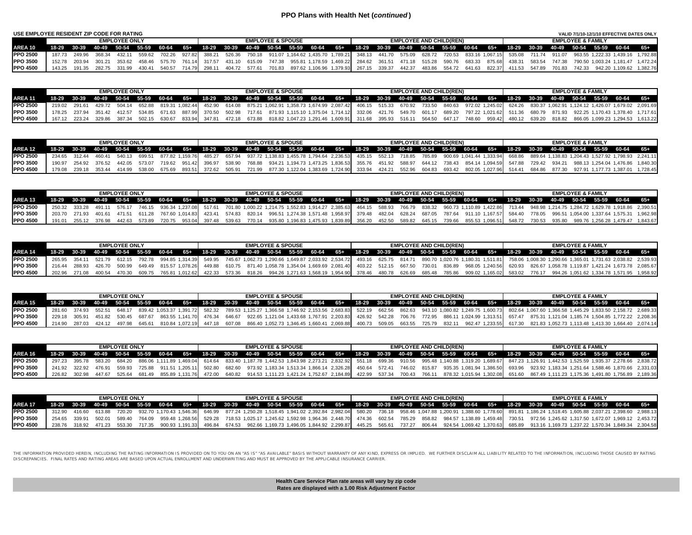# **PPO Plans with Health Net (***continued* **)**

| USE EMPLOYEE RESIDENT ZIP CODE FOR RATING |         |               |        |                      |        |               |        |        |               |               |                              |                                                                                                                   |  |        |        |                                |        |        |               |        |                              | VALID 7/1/10-12/1/10 EFFECTIVE DATES ONLY |                                                        |
|-------------------------------------------|---------|---------------|--------|----------------------|--------|---------------|--------|--------|---------------|---------------|------------------------------|-------------------------------------------------------------------------------------------------------------------|--|--------|--------|--------------------------------|--------|--------|---------------|--------|------------------------------|-------------------------------------------|--------------------------------------------------------|
|                                           |         |               |        | <b>EMPLOYEE ONLY</b> |        |               |        |        |               |               | <b>EMPLOYEE &amp; SPOUSE</b> |                                                                                                                   |  |        |        | <b>EMPLOYEE AND CHILD(REN)</b> |        |        |               |        | <b>EMPLOYEE &amp; FAMILY</b> |                                           |                                                        |
| AREA 10                                   | $18-29$ |               |        |                      |        |               |        |        |               |               |                              | 30-39 40-49 50-54 55-59 60-64 65+ 18-29 30-39 40-49 50-54 55-59 60-64 65+ 18-29 30-39 40-49 50-54 55-59 60-64 65+ |  |        |        |                                |        |        |               |        |                              | 18-29 30-39 40-49 50-54 55-59 60-64 65+   |                                                        |
| <b>PPO 2500</b>                           |         | 187.73 249.96 |        | 432.11               | 559.62 | 702.26        | 927.82 | 388.21 |               |               |                              | 526.36 750.18 911.07 1.164.62 1.435.70 1.789.21 348.13 441.70 575.09                                              |  |        | 628.72 | 720.53 833.16 1.067.15         |        |        |               |        |                              |                                           | 535.08 711.74 911.07 963.55 1.222.33 1.439.16 1.792.88 |
| <b>PPO 3500</b>                           | 152.78  | 203.94        | 301 21 | 353.62               |        | 458.46 575.70 | 761.14 | 317.57 |               | 431.10 615.09 |                              | 747.38 955.81 1.178.59 1.469.22 284.62 361.51 471.18 515.28                                                       |  |        |        | 590.76                         | 683.33 | 875.68 | 438.31        | 583.54 |                              | 747.38 790.50 1.003.24 1.181.47 1.472.24  |                                                        |
| <b>IPPO 4500</b>                          |         | 143.25 191.35 |        | 331.99               | 430.41 | 540.57        | 714.79 | 298.11 | 404.72 577.61 |               | 701.83                       | 897.62 1.106.96 1.379.93 267.15 339.37                                                                            |  | 442.37 | 483.86 | 554.72                         | 641.63 |        | 822.37 411.53 | 547.89 |                              | 701.83 742.33 942.20 1.109.62 1.382.76    |                                                        |

|                 |                                                                                                                                                                 | <b>EMPLOYEE ONLY</b> |  |  | <b>EMPLOYEE &amp; SPOUSE</b> |  |  |  | <b>EMPLOYEE AND CHILD(REN)</b> |  |  |  | <b>FMPI OYFF &amp; FAMILY</b> |  |                                                                                                                                                                                                                           |
|-----------------|-----------------------------------------------------------------------------------------------------------------------------------------------------------------|----------------------|--|--|------------------------------|--|--|--|--------------------------------|--|--|--|-------------------------------|--|---------------------------------------------------------------------------------------------------------------------------------------------------------------------------------------------------------------------------|
| AREA 11         | 18-29 30-39 40-49 50-54 55-59 60-64 65+ 18-29 30-39 40-49 50-54 55-59 60-64 65+ 18-29 30-39 40-49 50-54 55-59 60-64 65+ 18-29 30-39 40-49 50-54 55-59 60-64 65+ |                      |  |  |                              |  |  |  |                                |  |  |  |                               |  |                                                                                                                                                                                                                           |
| <b>PPO 2500</b> |                                                                                                                                                                 |                      |  |  |                              |  |  |  |                                |  |  |  |                               |  | 219.02 291.61 429.72 504.14 652.88 819.31 1.082.44 452.90 614.08 875.21 1.062.91 1.358.73 1.674.99 2.087.42 406.15 515.33 670.92 733.50 840.63 972.02 1.245.02 624.26 830.37 1.062.91 1.124.12 1.426.07 1.679.02 2.091.69 |
| <b>PPO 3500</b> |                                                                                                                                                                 |                      |  |  |                              |  |  |  |                                |  |  |  |                               |  | 178.25 237.94 351.42 412.57 534.85 671.63 887.99 370.50 502.98 717.61 871.93 1,115.10 1,375.04 1,714.12 332.06 421.76 549.70 601.17 689.20 797.22 1,021.62 511.36 680.79 871.93 922.25 1,170.43 1,378.40 1,717.61         |
| <b>PPO 4500</b> |                                                                                                                                                                 |                      |  |  |                              |  |  |  |                                |  |  |  |                               |  | 167.12 223.24 329.86 387.34 502.15 630.67 833.94 347.81 472.18 673.88 818.82 1,047.23 1,291.46 1,609.91 311.68 395.93 516.11 564.50 647.17 748.60 959.42 480.12 639.20 818.82 866.05 1,099.23 1,294.53 1,613.22           |

|                 |  | <b>EMPLOYEE ONLY</b> |  |  | <b>EMPLOYEE &amp; SPOUSE</b> |  |  |  | <b>EMPLOYEE AND CHILD(REN)</b> |  |  |  | <b>EMPLOYEE &amp; FAMILY</b> |  |                                                                                                                                                                                                                             |
|-----------------|--|----------------------|--|--|------------------------------|--|--|--|--------------------------------|--|--|--|------------------------------|--|-----------------------------------------------------------------------------------------------------------------------------------------------------------------------------------------------------------------------------|
| <b>AREA 12.</b> |  |                      |  |  |                              |  |  |  |                                |  |  |  |                              |  | 18-29 30-39 40-49 50-54 55-59 60-64 65+ 18-29 30-39 40-49 50-54 55-59 60-64 65+ 18-29 30-39 40-49 50-54 55-59 60-64 65+ 18-29 30-39 40-49 50-54 55-59 60-64 65+                                                             |
| <b>PPO 2500</b> |  |                      |  |  |                              |  |  |  |                                |  |  |  |                              |  | 234.65 312.44 460.41 540.13 699.51 877.82 1,159.76 485.27 657.94 937.72 1,138.83 1,455.78 1,794.64 2,236.53 435.15 552.13 718.85 785.89 900.69 1,041.44 1,333.94 668.86 889.64 1,138.83 1,204.43 1,527.92 1,798.93 2,241.11 |
| <b>PPO 3500</b> |  |                      |  |  |                              |  |  |  |                                |  |  |  |                              |  | 190.97 254.92 376.52 442.05 573.07 719.62 951.42 396.97 538.90 768.88 934.21 1.194.73 1.473.25 1.836.53 355.76 451.92 588.97 644.12 738.43 854.14 1.094.59 547.88 729.42 934.21 988.13 1.254.04 1.476.86 1.840.30           |
| <b>PPO 4500</b> |  |                      |  |  |                              |  |  |  |                                |  |  |  |                              |  | 178.08 239.18 353.44 414.99 538.00 675.69 893.51 372.62 505.91 721.99 877.30 1,122.04 1,383.69 1,724.90 333.94 424.21 552.96 604.83 693.42 802.05 1,027.96 514.41 684.86 877.30 927.91 1,177.73 1,387.01 1,728.45           |

|                  |                             | <b>EMPLOYEE ONLY</b> |  |  | <b>EMPLOYEE &amp; SPOUSE</b> |  |                                                                                                                                                                                                                               |  | <b>EMPLOYEE AND CHILD(REN)</b> |  |  |  | <b>EMPLOYEE &amp; FAMILY</b> |  |  |
|------------------|-----------------------------|----------------------|--|--|------------------------------|--|-------------------------------------------------------------------------------------------------------------------------------------------------------------------------------------------------------------------------------|--|--------------------------------|--|--|--|------------------------------|--|--|
| AREA 13          |                             |                      |  |  |                              |  | 18-29 30-39 40-49 50-54 55-59 60-64 65+ 18-29 30-39 40-49 50-54 55-59 60-64 65+ 18-29 30-39 40-49 50-54 55-59 60-64 65+ 18-29 30-39 40-49 50-54 55-59 60-64 65+                                                               |  |                                |  |  |  |                              |  |  |
| <b>PPO 2500</b>  |                             |                      |  |  |                              |  | 250.32 333.28 491.11 576.17 746.15 936.34 1.237.08 517.61 701.80 1,000.22 1.214.75 1,552.83 1,914.27 2,385.63 464.15 588.93 766.79 838.32 960.73 1,110.89 1,422.86 713.44 948.98 1,214.75 1,284.72 1,629.78 1,918.86 2,390.51 |  |                                |  |  |  |                              |  |  |
| <b>PPO 3500</b>  | 203.70 271.93 401.61 471.51 |                      |  |  |                              |  | 611.28 767.60 1.014.83 423.41 574.83 820.14 996.51 1.274.38 1.571.48 1.958.97 379.48 482.04 628.24 687.05 787.64 911.10 1.167.57 584.40 778.05 996.51 1.054.00 1.337.64 1.575.31 1.962.98                                     |  |                                |  |  |  |                              |  |  |
| <b>IPPO 4500</b> | 191.01 255.12 376.98        | 442.63               |  |  |                              |  | 573.89 720.75 953.04 397.48 539.63 770.14 935.80 1,196.83 1,475.93 1,839.89 356.20 452.50 589.82 645.15 739.66 855.53 1,096.51 548.72 730.53 935.80 989.76 1,256.28 1,479.47 1,843.67                                         |  |                                |  |  |  |                              |  |  |

|                 |                             |        | <b>EMPLOYEE ONLY</b> |  |  |  | <b>EMPLOYEE &amp; SPOUSE</b> |                                                                                                                                                                 |  |  | <b>EMPLOYEE AND CHILD(REN)</b> |  |  | <b>EMPLOYEE &amp; FAMILY</b> |  |                                                                                                                                                                                                                                 |
|-----------------|-----------------------------|--------|----------------------|--|--|--|------------------------------|-----------------------------------------------------------------------------------------------------------------------------------------------------------------|--|--|--------------------------------|--|--|------------------------------|--|---------------------------------------------------------------------------------------------------------------------------------------------------------------------------------------------------------------------------------|
| AREA 14         |                             |        |                      |  |  |  |                              | 18-29 30-39 40-49 50-54 55-59 60-64 65+ 18-29 30-39 40-49 50-54 55-59 60-64 65+ 18-29 30-39 40-49 50-54 55-59 60-64 65+ 18-29 30-39 40-49 50-54 55-59 60-64 65+ |  |  |                                |  |  |                              |  |                                                                                                                                                                                                                                 |
| <b>PPO 2500</b> |                             |        |                      |  |  |  |                              |                                                                                                                                                                 |  |  |                                |  |  |                              |  | 265.95 261.97 161.11 1290.66 1.365.01 1.731.63 2.038.82 1.314.39 1.314.39 549.95 745.67 1.062.73 1.290.66 1.649.87 2.033.92 2.534.72 493.16 625.75 814.71 890.70 1.020.76 1.180.31 1.511.81 758.06 1.008.30 1.290.66 1.365.01 1 |
| <b>PPO 3500</b> | 216.44 288.93 426.70 500.99 |        |                      |  |  |  |                              |                                                                                                                                                                 |  |  |                                |  |  |                              |  | 649.49 815.57 1,078.26 449.88 610.75 871.40 1,058.78 1,354.04 1,669.69 2,081.40 403.22 512.15 667.50 730.01 836.89 968.05 1,240.56 620.93 826.67 1,058.78 1,119.87 1,421.24 1,673.78 2,085.67                                   |
| <b>PPO 4500</b> | 202.96 271.08               | 400.54 | 470.30               |  |  |  |                              |                                                                                                                                                                 |  |  |                                |  |  |                              |  | 609.75 765.81 1,012.62 422.33 573.36 818.26 994.26 1,271.63 1,568.19 1,954.90 378.46 480.78 626.69 685.48 785.86 909.02 1,165.02 583.02 776.17 994.26 1,051.62 1,334.78 1,571.95 1,958.92                                       |

|                  |  | <b>EMPLOYEE ONLY</b> |  |  | <b>EMPLOYEE &amp; SPOUSE</b> |  |                                                                                                                                                                                                                                 |  | <b>EMPLOYEE AND CHILD(REN)</b> |  | <b>FMPI OYFF &amp; FAMILY</b> |  |  |  |  |  |  |
|------------------|--|----------------------|--|--|------------------------------|--|---------------------------------------------------------------------------------------------------------------------------------------------------------------------------------------------------------------------------------|--|--------------------------------|--|-------------------------------|--|--|--|--|--|--|
| AREA 15          |  |                      |  |  |                              |  | 18-29 30-39 40-49 50-54 55-59 60-64 65+ 18-29 30-39 40-49 50-54 55-59 60-64 65+ 18-29 30-39 40-49 50-54 55-59 60-64 65+ 18-29 30-39 40-49 50-54 55-59 60-64 65+ 18-29 30-39 40-49 50-54 55-59 60-64 65+ 18-29 30-39 50-54 55-59 |  |                                |  |                               |  |  |  |  |  |  |
| <b>IPPO 2500</b> |  |                      |  |  |                              |  | 28.03.16 17.49 28.66 1.445.29 2.689.42 1.053.37 1.391.72 582.32 789.53 1.125.27 1.366.58 1.746.92 2.153.56 2.683.83 522.19 662.65 862.63 943.10 1.080.82 1.249.75 1.600.73 802.64 1.067.60 1.366.58 1.445.29 1.833.50 2.158.72  |  |                                |  |                               |  |  |  |  |  |  |
| <b>PPO 3500</b>  |  |                      |  |  |                              |  | 229.18 305.91 451.82 530.45 687.67 863.55 1,141.70 476.34 646.67 922.65 1,121.04 1,433.68 1,767.91 2,203.83 426.92 542.28 706.76 772.95 886.11 1,024.99 1,313.51 657.47 875.31 1,121.04 1,185.74 1,504.85 1,772.22 2,208.36     |  |                                |  |                               |  |  |  |  |  |  |
| <b>IPPO 4500</b> |  |                      |  |  |                              |  | 214.90 287.03 424.12 497.98 645.61 810.84 1,072.19 447.18 607.08 866.40 1,052.73 1,346.45 1,660.41 2,069.88 400.73 509.05 663.55 725.79 832.11 962.47 1,233.55 617.30 821.83 1,052.73 1,113.48 1,413.30 1,664.40 2,074.14       |  |                                |  |                               |  |  |  |  |  |  |

|                 |  |  |  | <b>EMPLOYEE ONLY</b> |  |  |  |  |  |  | <b>EMPLOYEE &amp; SPOUSE</b> |  |  |                                                                                                                                                                                                                                 |  | <b>EMPLOYEE AND CHILD(REN)</b> |  | <b>EMPLOYEE &amp; FAMILY</b> |  |  |  |  |  |  |
|-----------------|--|--|--|----------------------|--|--|--|--|--|--|------------------------------|--|--|---------------------------------------------------------------------------------------------------------------------------------------------------------------------------------------------------------------------------------|--|--------------------------------|--|------------------------------|--|--|--|--|--|--|
| AREA 16         |  |  |  |                      |  |  |  |  |  |  |                              |  |  | 18-29 30-39 40-49 50-54 55-59 60-64 65+ 18-29 30-39 40-49 50-54 55-59 60-64 65+ 18-29 30-39 40-49 50-54 55-59 60-64 65+ 18-29 30-39 40-49 50-54 55-59 60-64 65+ 18-29 30-39 40-49 50-54 55-59 60-64 65+                         |  |                                |  |                              |  |  |  |  |  |  |
| <b>PPO 2500</b> |  |  |  |                      |  |  |  |  |  |  |                              |  |  | 297.23 395.78 583.20 684.20 886.06 1,111.89 1,469.04 614.64 833.40 1,187.78 1,442.53 1,843.98 2,273.21 2,832.92 551.18 699.36 910.56 995.48 1,140.88 1,319.20 1,689.67 847.23 1,126.91 1,442.53 1,525.59 1,935.37 2,278.66 2,83 |  |                                |  |                              |  |  |  |  |  |  |
| <b>PPO 3500</b> |  |  |  |                      |  |  |  |  |  |  |                              |  |  | 241.92 322.92 476.91 559.93 725.88 911.51 1,205.11 502.80 682.60 973.92 1,183.34 1,513.34 1,866.14 2,326.28 450.64 572.41 746.02 815.87 935.35 1,081.94 1,386.50 693.96 923.92 1,183.34 1,251.64 1,588.46 1,870.66 2,331.03     |  |                                |  |                              |  |  |  |  |  |  |
| <b>PPO 4500</b> |  |  |  |                      |  |  |  |  |  |  |                              |  |  | 226.82 302.98 447.67 525.64 681.49 855.89 1,131.76 472.00 640.82 914.53 1,111.23 1,421.24 1,752.67 2,184.89 422.99 537.34 700.43 766.11 878.32 1,015.94 1,302.08 651.60 867.49 1,111.23 1,175.36 1,491.80 1,756.89 2,189.36     |  |                                |  |                              |  |  |  |  |  |  |

|                  | <b>EMPLOYEE ONLY</b> |               |                                         |        |        |  |  |                               | <b>EMPLOYEE &amp; SPOUSE</b> |  |  |  |  |                                                                                                                                                                                                           |  |  | <b>EMPLOYEE AND CHILD(REN)</b> |  | <b>EMPLOYEE &amp; FAMILY</b> |  |  |  |  |  |  |  |
|------------------|----------------------|---------------|-----------------------------------------|--------|--------|--|--|-------------------------------|------------------------------|--|--|--|--|-----------------------------------------------------------------------------------------------------------------------------------------------------------------------------------------------------------|--|--|--------------------------------|--|------------------------------|--|--|--|--|--|--|--|
| AREA 17          |                      |               | 18-29 30-39 40-49 50-54 55-59 60-64 65+ |        |        |  |  |                               |                              |  |  |  |  | 18-29 30-39 40-49 50-54 55-59 60-64 65+ 18-29 30-39 40-49 50-54 55-59 60-64 65+ 18-29 30-39 40-49 50-54 55-59 60-64 65+                                                                                   |  |  |                                |  |                              |  |  |  |  |  |  |  |
| <b>IPPO 2500</b> |                      |               | 312.90 416.60 613.88 720.20             |        |        |  |  |                               |                              |  |  |  |  | 932.70 1,170.43 1,546.36 646.99 877.24 1,250.28 1,518.45 1,941.02 2,392.84 2,982.04 580.20 736.18 958.46 1,047.88 1,200.91 1,388.60 1,778.60 891.81 1,186.24 1,518.45 1,605.88 2,037.21 2,398.60 2,988.13 |  |  |                                |  |                              |  |  |  |  |  |  |  |
| <b>IPPO 3500</b> |                      | 254.65 339.91 | 502.01                                  | 589.40 | 764.09 |  |  |                               |                              |  |  |  |  | 959.48 1.268.56 529.28 718.53 1.025.17 1.245.62 1.592.98 1.964.36 2.448.70 474.36 602.54 785.29 858.82 984.57 1.138.89 1.459.48 730.51 972.56 1.245.62 1.317.50 1.672.07 1.969.12 2.453.72                |  |  |                                |  |                              |  |  |  |  |  |  |  |
| <b>IPPO 4500</b> |                      |               | 238.76 318.92 471.23 553.30             |        |        |  |  | 717.35 900.93 1.191.33 496.84 |                              |  |  |  |  | 674.53 962.66 1,169.73 1,496.05 1,844.92 2,299.87 445.25 565.61 737.27 806.44 924.54 1,069.42 1,370.63 685.89 913.16 1,169.73 1,237.22 1,570.34 1,849.34 2,304.58                                         |  |  |                                |  |                              |  |  |  |  |  |  |  |

THE INFORMATION PROVIDED HEREIN, INCLUDING THE RATION INFORMATION IS PROVIDED ON TO YOU ON AN "AS IS" "AS IVALIABLY OF ANY INFORMATION PAINT OF THE INFORMATION, INCLUDING THOSE CAUSED BY RATING<br>DISCREPANCIES. FINAL RATES A

**Rates are displayed with a 1.00 Risk Adjustment Factor Health Care Service Plan rate areas will vary by zip code**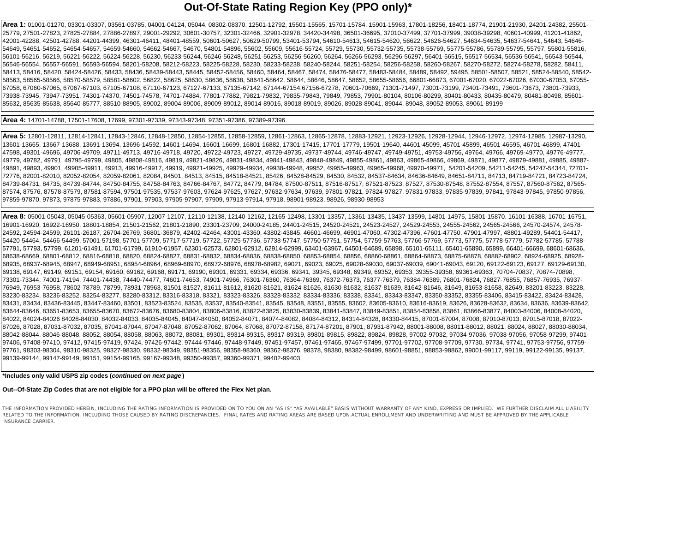# **Out-Of-State Rating Region Key (PPO only)\***

**Area 1:** 01001-01270, 03301-03307, 03561-03785, 04001-04124, 05044, 08302-08370, 12501-12792, 15501-15565, 15701-15784, 15901-15963, 17801-18256, 18401-18774, 21901-21930, 24201-24382, 25501- 25779, 27501-27823, 27825-27884, 27886-27897, 29001-29292, 30601-30757, 32301-32466, 32901-32978, 34420-34498, 36501-36695, 37010-37499, 37701-37999, 39038-39298, 40601-40999, 41201-41862, 42001-42288, 42501-42788, 44201-44399, 46301-46411, 48401-48559, 50601-50627, 50629-50799, 53401-53794, 54610-54613, 54615-54620, 56622, 54626-54627, 54634-54635, 54637-54641, 54643, 54646- 54649, 54651-54652, 54654-54657, 54659-54660, 54662-54667, 54670, 54801-54896, 55602, 55609, 55616-55724, 55729, 55730, 55732-55735, 55738-55769, 55775-55786, 55789-55795, 55797, 55801-55816, 56101-56216, 56219, 56221-56222, 56224-56228, 56230, 56233-56244, 56246-56248, 56251-56253, 56256-56260, 56264, 56266-56293, 56296-56297, 56401-56515, 56517-56534, 56536-56541, 56543-56544, 56546-56554, 56557-56591, 56593-56594, 58201-58208, 58212-58223, 58225-58228, 58230, 58233-58238, 58240-58244, 58251-58254, 58256-58258, 58260-58267, 58270-58272, 58274-58278, 58282, 58411, 58413, 58416, 58420, 58424-58426, 58433, 58436, 58439-58443, 58445, 58452-58456, 58460, 58464, 58467, 58474, 58476-58477, 58483-58484, 58489, 58492, 59495, 58501-58507, 58521, 58524-58540, 58542- 58563, 58565-58566, 58570-58579, 58581-58602, 56822, 58625, 58630, 58636, 58638, 58641-58642, 58644, 58646, 58647, 58652, 58655-58656, 66801-66873, 67001-67020, 67022-67026, 67030-67053, 67055- 67058, 67060-67065, 67067-67103, 67105-67108, 67110-67123, 67127-67133, 67135-67142, 67144-67154.67156-67278, 70601-70669, 71301-71497, 73001-73199, 73401-73491, 73601-73673, 73801-73933, 73938-73945, 73947-73951, 74301-74370, 74501-74578, 74701-74884, 77801-77882, 79821-79832, 79835-79843, 79849, 79853, 79901-80104, 80106-80299, 80401-80433, 80435-80479, 80481-80498, 85601- 85632, 85635-85638, 85640-85777, 88510-88905, 89002, 89004-89006, 89009-89012, 89014-89016, 89018-89019, 89026, 89028-89041, 89044, 89048, 89052-89053, 89061-89199

# **Area 4:** 14701-14788, 17501-17608, 17699, 97301-97339, 97343-97348, 97351-97386, 97389-97396

**Area 5:** 12801-12811, 12814-12841, 12843-12846, 12848-12850, 12854-12855, 12858-12859, 12861-12863, 12865-12878, 12883-12921, 12923-12926, 12928-12944, 12946-12972, 12974-12985, 12987-13290, 13601-13665, 13667-13688, 13691-13694, 13696-14592, 14601-14694, 16601-16699, 16801-16882, 17301-17415, 17701-17779, 19501-19640, 44601-45099, 45701-45899, 46501-46595, 46701-46899, 47401- 47598, 49301-49696, 49706-49709, 49711-49713, 49716-49718, 49720, 49722-49723, 49727, 49729-49735, 49737-49744, 49746-49747, 49749-49751, 49753-49756, 49764, 49766, 49769-49770, 49776-49777, 49779, 49782, 49791, 49795-49799, 49805, 49808-49816, 49819, 49821-49826, 49831-49834, 49841-49843, 49844-49843, 4984-49849, 49855-49861, 49863, 49865-49866, 49869, 49871, 49877, 49879-49881, 49885, 49887, 49879-49881, 4988 49891, 49893, 49901, 49905-49911, 49913, 49916-49917, 49919, 49921-49925, 49929-49934, 49938-49948, 49952, 49955-49963, 49965-49968, 49970-49971, 54201-54209, 54211-54245, 54247-54344, 72701- 72776, 82001-82010, 82052-82054, 82059-82061, 82084, 84501, 84513, 84515, 84518-84521, 85426, 84528-84529, 84530, 84532, 84537-84634, 84636-84649, 84651-84711, 84713, 84719-84721, 84723-84724, 84739-84731, 84735, 84739-84744, 84750-84755, 84758-84763, 84766-84767, 84772, 84779, 84784, 87500-87511, 87516-87517, 87521-87523, 87527, 87530-87548, 87552-87554, 87557, 87560-87562, 87565- 87574, 87576, 87578-87579, 87581-87594, 97501-97535, 97537-97603, 97624-97625, 97627, 97632-97634, 97639, 97801-97821, 97824-97827, 97831-97833, 97835-97839, 97841, 97843-97845, 97850-97856, 97859-97870, 97873, 97875-97883, 97886, 97901, 97903, 97905-97907, 97909, 97913-97914, 97918, 98901-98923, 98926, 98930-98953

**Area 8:** 05001-05043, 05045-05363, 05601-05907, 12007-12107, 12110-12138, 12140-12162, 12165-12498, 13301-13357, 13361-13435, 13437-13599, 14801-14975, 15801-15870, 16101-16388, 16701-16751, 16901-16920, 16922-16950, 18801-18854, 21501-21562, 21801-21890, 23301-23709, 24000-24185, 24401-24515, 24520-24521, 24523-24527, 24529-24553, 24555-24562, 24565-24566, 24570-24574, 24578- 24592, 24594-24599, 26101-26187, 26704-26769, 36801-36879, 42402-42464, 43001-43360, 43802-43845, 46601-46699, 46901-47060, 47302-47396, 47601-47750, 47901-47997, 48801-49289, 54401-54417, 54420-54464, 54466-54499, 57001-57198, 57701-57709, 57717-57719, 57722, 57725-57736, 57738-57747, 57750-57751, 57754, 57759-57763, 57766-57769, 57773, 57775, 57778-57779, 57782-57785, 57788- 57791, 57793, 57799, 61201-61491, 61701-61799, 61910-61957, 62301-62573, 62801-62912, 62914-62999, 63401-63967, 64501-64689, 65898, 65101-65111, 65401-65890, 65899, 66401-66699, 68601-6869, 68601-68699, 68601-6869, 6789, 67 68638-68669, 68801-68812, 68816-68818, 68820, 68824-68827, 68831-68832, 68834-68836, 68838-68850, 68853-68854, 68856, 68860-68861, 68864-68873, 68875-68878, 68882-68902, 68924-68925, 68928- 68935, 68937-68945, 68947, 68949-68951, 68954-68964, 68969-68970, 68972-68976, 68978-68982, 69021, 69023, 69025, 69028-69030, 69037-69039, 69041-69043, 69120, 69122-69123, 69127, 69129-69130, 69138, 69147, 69149, 69151, 69154, 69160, 69162, 69168, 69171, 69190, 69301, 69331, 69334, 69336, 69341, 39345, 69348, 69349, 69352, 69353, 39355-39358, 69361-69363, 70704-70837, 70874-70898, 73301-73344, 74001-74194, 74401-74438, 74440-74477, 74601-74653, 74901-74966, 76301-76360, 76364-76369, 76372-76373, 76377-76379, 76384-76389, 76801-76824, 76827-76855, 76857-76935, 76937- 76949, 76953-76958, 78602-78789, 78799, 78931-78963, 81501-81527, 81611-81612, 81620-81621, 81624-81626, 81630-81632, 81637-81639, 81642-81646, 81649, 81653-81658, 82649, 83201-83223, 83228, 83230-83234, 83236-83252, 83254-83277, 83280-83312, 83316-83318, 83321, 83323-83326, 83328-83332, 83334-83336, 83338, 83341, 83343-83347, 83350-83352, 83355-83406, 83415-83422, 83424-83428, 83431, 83434, 83436-83445, 83447-83460, 83501, 83523-83524, 83535, 83537, 83540-83541, 83545, 83548, 83551, 83555, 83602, 83605-83610, 83616-83619, 83626, 83628-83632, 83634, 83636, 83639-83642, 83644-83646, 83651-83653, 83655-83670, 83672-83676, 83680-83804, 83806-83816, 83822-83825, 83830-83839, 83841-83847, 83849-83851, 83854-83858, 83861, 83866-83877, 84003-84006, 84008-84020, 84022, 84024-84026 84028-84030, 84032-84033, 84035-84045, 84047-84050, 84052-84071, 84074-84082, 84084-84312, 84314-84328, 84330-84415, 87001-87004, 87008, 87010-87013, 87015-87018, 87022- 87026, 87028, 87031-87032, 87035, 87041-87044, 87047-87048, 87052-87062, 87064, 87068, 87072-87158, 87174-87201, 87901, 87931-87942, 88001-88008, 88011-88012, 88021, 88024, 88027, 88030-88034, 88042-88044, 88046-88048, 88052, 88054, 88058, 88063, 88072, 88081, 89301, 89314-89315, 89317-89319, 89801-89815, 89822, 89824, 89828, 97002-97032, 97034-97036, 97038-97056, 97058-97299, 97401- 97406, 97408-97410, 97412, 97415-97419, 97424, 97426-97442, 97444-97446, 97448-97449, 97451-97457, 97461-97465, 97467-97499, 97701-97702, 97708-97709, 97730, 97734, 97741, 97753-97756, 97759- 97761, 98303-98304, 98310-98325, 98327-98330, 98332-98349, 98351-98356, 98358-98360, 98362-98376, 98378, 98380, 98382-98499, 98601-98851, 98853-98862, 99001-99117, 99119, 99122-99135, 99137, 99139-99144, 99147-99149, 99151, 99154-99165, 99167-99348, 99350-99357, 99360-99371, 99402-99403

# **\*Includes only valid USPS zip codes (***continued on next page* **)**

# **Out--Of-State Zip Codes that are not eligible for a PPO plan will be offered the Flex Net plan.**

THE INFORMATION PROVIDED HEREIN, INCLUDING THE RATING INFORMATION IS PROVIDED ON TO YOU ON AN "AS IS" "AS AVAILABLE" BASIS WITHOUT WARRANTY OF ANY KIND, EXPRESS OR IMPLIED. WE FURTHER DISCLAIM ALL LIABILITY RELATED TO THE INFORMATION, INCLUDING THOSE CAUSED BY RATING DISCREPANCIES. FINAL RATES AND RATING AREAS ARE BASED UPON ACTUAL ENROLLMENT AND UNDERWRITING AND MUST BE APPROVED BY THE APPLICABLE **INSURANCE CARRIER**